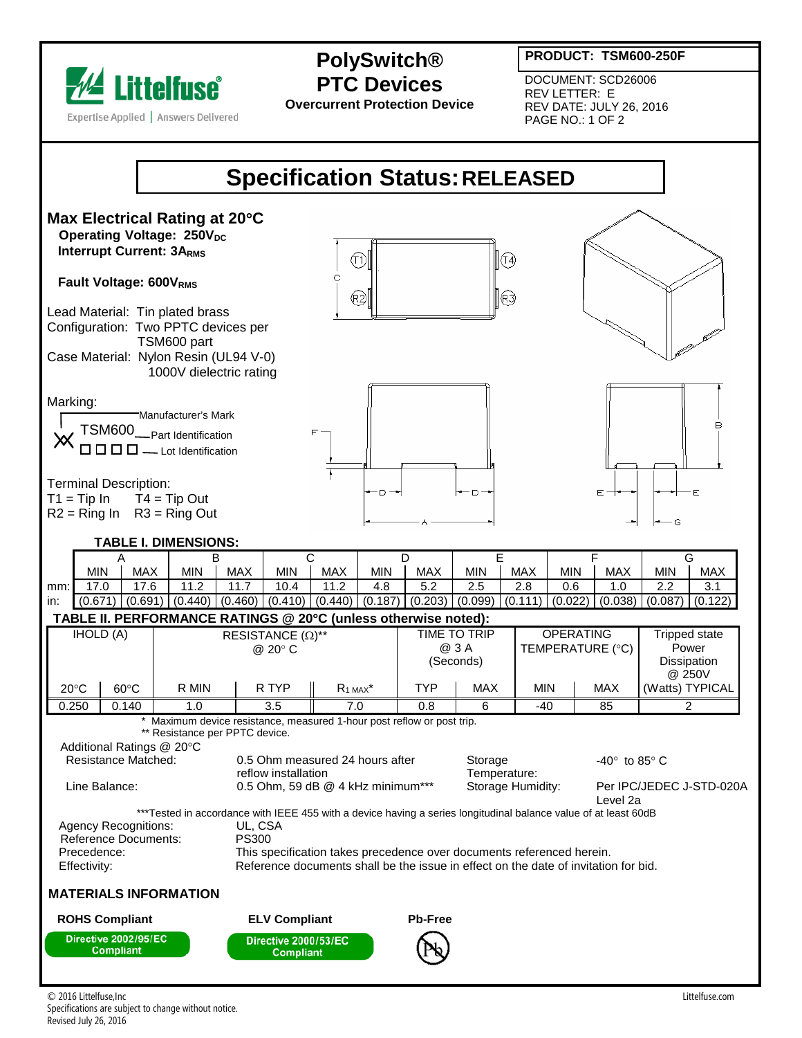

## **PolySwitch® PTC Devices**

**Overcurrent Protection Device**

**PRODUCT: TSM600-250F**

DOCUMENT: SCD26006 REV LETTER: E REV DATE: JULY 26, 2016 PAGE NO.: 1 OF 2